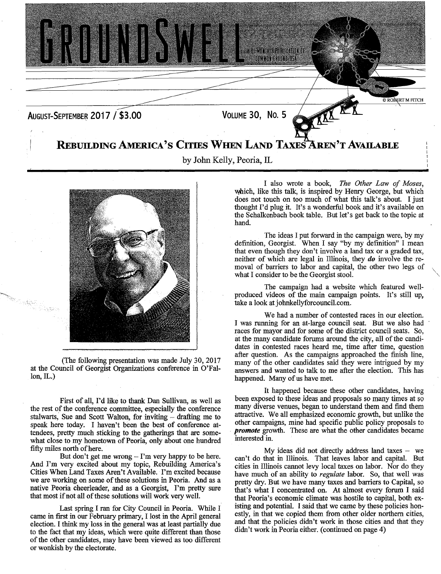



(The following presentation was made July 30, 2017 at the Council of Georgist Organizations conference in O'Falion, IL.)

First of all, I'd like to thank Dan Sullivan, as well as the rest of the conference committee, especially the conference stalwarts, Sue and Scott Walton, for inviting - drafting me to speak here today. I haven't been the best of conference attendees, pretty much sticking to the gatherings that are somewhat close to my hometown of Peoria, only about one hundred fifty miles north of here.

But don't get me wrong  $-$  I'm very happy to be here. And I'm very excited about my topic, Rebuilding America's Cities When Land Taxes Aren't Available. I'm excited because we are working on some of these solutions in Peoria. And as a native Peoria cheerleader, and as a Georgist, I'm pretty sure that most if not all of these solutions will work very well.

Last spring I ran for City Council in Peoria. While I came in first in our February primary, I lost in the April general election. I think my loss in the general was at least partially due to the fact that my ideas, which were quite different than those of the other candidates, may have been viewed as too different or wonkish by the electorate.

I also wrote a book, *The Other Law of Moses,*  which, like this talk, is inspired by Henry George, but which does not touch on too much of what this talk's about. I just thought I'd plug it. It's a wonderful book and it's available on the Schalkenbach book table. But let's get back to the topic at hand.

The ideas I put forward in the campaign were, by my definition, Georgist. When I say "by my definition" I mean that even though they don't involve a land tax or a graded tax, neither of which are legal in Illinois, they *do* involve the removal of barriers to labor and capital, the other two legs of what I consider to be the Georgist stool.

The campaign had a website which featured wellproduced videos of the main campaign points. It's still up, take a look at johnkellyforcouncil.com.

We had a number of contested races in our election. I was running for an at-large council seat. But we also had races for mayor and for some of the district council seats. So, at the many candidate forums around the city, all of the candidates in contested races heard me, time after time, question after question. As the campaigns approached the finish line, many of the other candidates said they were intrigued by my answers and wanted to talk to me after the election. This has happened. Many of us have met.

It happened because these other candidates, having been exposed to these ideas and proposals so many times at so many diverse venues, began to understand them and find them attractive. We all emphasized economic growth, but unlike the other campaigns, mine had specific public policy proposals to *promote* growth. These are what the other candidates became interested in.

My ideas did not directly address land taxes  $-$  we can't do that in Illinois. That leaves labor and capital. But cities in Illinois cannot levy local taxes on labor. Nor do they have much of an ability to *regulate* labor. So, that well was pretty dry. But we have many taxes and barriers to Capital, so that's what I concentrated on. At almost every forum I said that Peoria's economic climate was hostile to capital, both existing and potential. I said that we came by these policies honestly, in that we copied them from other older northern cities, and that the policies didn't work in those cities and that they didn't work in Peoria either. (continued on page 4)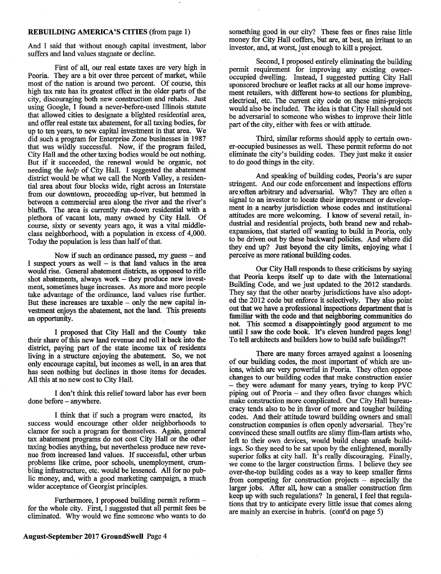## **REBUILDING AMERICA'S CITIES** (from page 1)

And I said that without enough capital investment, labor suffers and land values stagnate or decline.

First of all, our real estate taxes are very high in Peoria. They are a bit over three percent of market, while most of the nation is around two percent. Of course, this high tax rate has its greatest effect in the older parts of the city, discouraging both new construction and rehabs. Just using Google, I found a never-before-used Illinois statute that allowed cities to designate a blighted residential area, and offer real estate tax abatement, for all taxing bodies, for up to ten years, to new capital investment in that area. We did such a program for Enterprise Zone businesses in 1987 that was wildly successful. Now, if the program failed, City Hall and the other taxing bodies would be out nothing. But if it succeeded, the renewal would be organic, not needing the *help* of City Hall. I suggested the abatement district would be what we call the North Valley, a residential area about four blocks wide, right across an Interstate from our downtown, proceeding up-river, but hemmed in between a commercial area along the river and the river's bluffs. The area is currently run-down residential with a plethora of vacant lots, many owned by City Hall. Of course, sixty or seventy years ago, it was a vital middleclass neighborhood, with a population in excess of 4,000. Today the population is less than half of that.

Now if such an ordinance passed, my guess  $-$  and I suspect yours as well  $-$  is that land values in the area would rise. General abatement districts, as opposed to rifle shot abatements, always work – they produce new investment, sometimes huge increases. As more and more people take advantage of the ordinance, land values rise further. But these increases are taxable  $-$  only the new capital investment enjoys the abatement, not the land. This presents an opportunity.

I proposed that City Hall and the County take their share of this new land revenue and roll it back into the district, paying part of the state income tax of residents living in a structure enjoying the abatement. So, we not only encourage capital, but incomes as well, in an area that has seen nothing but declines in those items for decades. All this at no new cost to City Hall.

I don't think this relief toward labor has ever been done before - anywhere.

I think that if such a program were enacted, its success would encourage other older neighborhoods to clamor for such a program for themselves. Again, general tax abatement programs do not cost City Hall or the other taxing bodies anything, but nevertheless produce new revenue from increased land values. If successful, other urban problems like crime, poor schools, unemployment, crumbling infrastructure, etc. would be lessened. All for no public money, and, with a good marketing campaign, a much wider acceptance of Georgist principles.

Furthermore, I proposed building permit reform for the whole city. First, I suggested that all permit fees be eliminated. Why would we fine someone who wants to do

August-September 2017 **GroundSwell** Page 4

something good in our city? These fees or fines raise little money for City Hall coffers, but are, at best, an irritant to an investor, and, at worst, just enough to kill a project.

Second, I proposed entirely eliminating the building permit requirement for improving any existing owneroccupied dwelling. Instead, I suggested putting City Hall sponsored brochure or leaflet racks at all our home improvement retailers, with different how-to sections for plumbing, electrical, etc. The current city code on these mini-projects would also be included. The idea is that City Hall should not be adversarial to someone who wishes to improve their little part of the city, either with fees or with attitude.

Third, similar reforms should apply to certain owner-occupied businesses as well. These permit reforms do not eliminate the city's building codes. They just make it easier to do good things in the city.

And speaking of building codes, Peoria's are super stringent. And our code enforcement and inspections efforts are often arbitrary and adversarial. Why? They are often a signal to an investor to locate their improvement or development in a nearby jurisdiction whose codes and institutional attitudes are more welcoming. I know of several retail, industrial and residential projects, both brand new and rehabexpansions, that started off wanting to build in Peoria, only to be driven out by these backward policies. And where did they end up? Just beyond the city limits, enjoying what I perceive as more rational building codes.

Our City Hall responds to these criticisms by saying that Peoria keeps itself up to date with the International Building Code, and we just updated to the 2012 standards. They say that the other nearby jurisdictions have also adopted the 2012 code but enforce it selectively. They also point out that we have a professional inspections department that is familiar with the code and that neighboring communities do not. This seemed a disappointingly good argument to me until I saw the code book. It's eleven hundred pages long! To tell architects and builders how to build safe buildings?!

There are many forces arrayed against a loosening of our building codes, the most important of which are unions, which are very powerful in Peoria. They often oppose changes to our building codes that make construction easier - they were adamant for many years, trying to keep PVC piping out of Peoria - and they often favor changes which make construction more complicated. Our City Hall bureaucracy tends also to be in favor of more and tougher building codes. And their attitude toward building owners and small construction companies is often openly adversarial. They're convinced these small outfits are slimy flim-flam artists who, left to their own devices, would build cheap unsafe buildings. So they need to be sat upon by the enlightened, morally superior folks at city hall. It's really discouraging. Finally, we come to the larger construction firms. I believe they see over-the-top building codes as a way to keep smaller firms from competing for construction projects  $-$  especially the larger jobs. After all, how can a smaller construction firm keep up with such regulations? In general, I feel that regulations that try to anticipate every little issue that comes along are mainly an exercise in hubris. (cont'd on page *5)*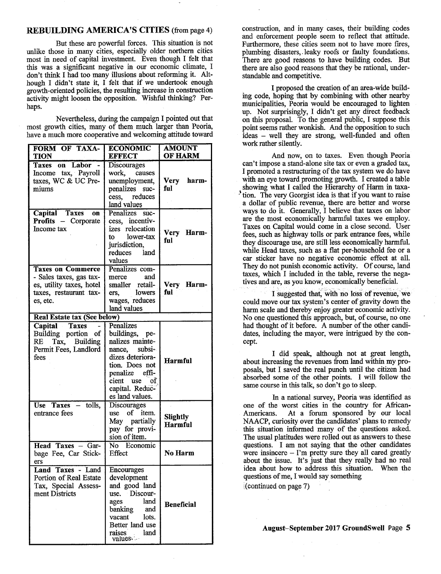## REBUILDING AMERICA'S CITIES (from page 4)

But these are powerful forces. This situation is not unlike those in many cities, especially older northern cities most in need of capital investment. Even though I felt that this was a significant negative in our economic climate, I don't think I had too many illusions about reforming it. Although I didn't state it, I felt that if we undertook enough growth-oriented policies, the resulting increase in construction activity might loosen the opposition. Wishful thinking? Perhaps.

Nevertheless, during the campaign I pointed out that most growth cities, many of them much larger than Peoria, have a much more cooperative and welcoming attitude toward

| FORM OF TAXA-<br><b>TION</b>                                                                                          | <b>ECONOMIC</b><br><b>EFFECT</b>                                                                                                                                                    | <b>AMOUNT</b><br><b>OF HARM</b>   |
|-----------------------------------------------------------------------------------------------------------------------|-------------------------------------------------------------------------------------------------------------------------------------------------------------------------------------|-----------------------------------|
| <b>Taxes on Labor</b>                                                                                                 | <b>Discourages</b>                                                                                                                                                                  |                                   |
| Income tax, Payroll<br>taxes, WC & UC Pre-<br>miums                                                                   | work,<br>causes<br>unemployment,<br>penalizes suc-<br>cess, reduces<br>land values                                                                                                  | Very<br>harm-<br>ful              |
| Capital Taxes<br><b>OR</b><br>Profits - Corporate<br>Income tax                                                       | Penalizes suc-<br>cess, incentiv-<br>izes relocation<br>lower-tax<br>to to<br>jurisdiction,<br>reduces<br>land<br>values                                                            | Very Harm-<br>ful                 |
| <b>Taxes on Commerce</b><br>- Sales taxes, gas tax-<br>es, utility taxes, hotel<br>taxes, restaurant tax-<br>es, etc. | Penalizes com-<br>and<br>merce<br>smaller retail-<br>lowers<br>ers.<br>wages, reduces<br>land values                                                                                | Very Harm-<br>ful                 |
| <b>Real Estate tax (See below)</b>                                                                                    |                                                                                                                                                                                     |                                   |
| Capital Taxes<br>Building portion of<br>Tax, Building<br>RE<br>Permit Fees, Landlord<br>fees                          | Penalizes<br>buildings, pe-<br>nalizes mainte-<br>nance, subsi-<br>dizes deteriora-<br>tion. Does not<br>effi-<br>penalize<br>cient use<br>of<br>capital. Reduc-<br>es land values. | <b>Harmful</b>                    |
| tolls,<br>Use Taxes $-$<br>entrance fees                                                                              | <b>Discourages</b><br>use of<br>item.<br>May partially<br>pay for provi-<br>sion of item.                                                                                           | <b>Slightly</b><br><b>Harmful</b> |
| Head Taxes - Gar-<br>bage Fee, Car Stick-<br>ers                                                                      | No Economic<br>Effect                                                                                                                                                               | No Harm                           |
| Land Taxes - Land<br>Portion of Real Estate<br>Tax, Special Assess-<br>ment Districts                                 | Encourages<br>development<br>and good land<br>use. Discour-<br>land<br>ages<br>banking<br>and<br>vacant<br>lots.<br>Better land use<br>land<br>raises<br>values.                    | <b>Beneficial</b>                 |

construction, and in many cases, their building codes and enforcement people seem to reflect that attitude. Furthermore, these cities seem not to have more fires, plumbing disasters, leaky roofs or faulty foundations. There are good reasons to have building codes. But there are also good reasons that they be rational, understandable and competitive.

I proposed the creation of an area-wide building code, hoping that by combining with other nearby municipalities, Peoria would be encouraged to lighten up. Not surprisingly, I didn't get any direct feedback on this proposal. To the general public, I suppose this point seems rather wonkish. And the opposition to such ideas - well they are strong, well-funded and often work rather silently.

And now, on to taxes. Even though Peoria can't impose a stand-alone site tax or even a graded tax, I promoted a restructuring of the tax system we do have with an eye toward promoting growth. I created a table showing what I called the Hierarchy of Harm in taxa-<sup>1</sup> tion. The very Georgist idea is that if you want to raise a dollar of public revenue, there are better and worse ways to do it. Generally, I believe that taxes on labor are the most economically harmful taxes we employ. Taxes on Capital would come in a close second. User fees, such as highway tolls or park entrance fees, while they discourage use, are still less economically harmful. while Head taxes, such as a flat per-household fee or a car sticker have no negative economic effect at all. They do not punish economic activity. Of course, land taxes, which I included in the table, reverse the negatives and are, as you know, economically beneficial.

I suggested that, with no loss of revenue, we could move our tax system's center of gravity down the harm scale and thereby enjoy greater economic activity. No one questioned this approach, but, of course, no one had thought of it before. A number of the other candidates, including the mayor, were intrigued by the concept.

I did speak, although not at great length, about increasing the revenues from land within my proposals, but I saved the real punch until the citizen had absorbed some of the other points. I will follow the same course in this talk, so don't go to sleep.

In a national survey, Peoria was identified as one of the worst cities in the country for African-<br>Americans. At a forum sponsored by our local At a forum sponsored by our local NAACP, curiosity over the candidates' plans to remedy this situation informed many of the questions asked. The usual platitudes were rolled out as answers to these questions. I am not saying that the other candidates were insincere - I'm pretty sure they all cared greatly about the issue. It's just that they really had no real idea about how to address this situation. When the questions of me, I would say something

(continued on page 7)

August—September 2017 GroundSwell Page 5